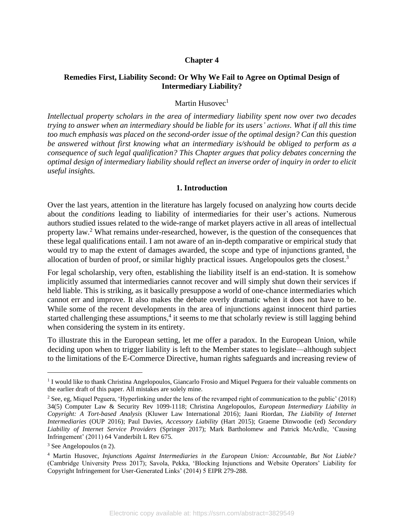#### **Chapter 4**

# **Remedies First, Liability Second: Or Why We Fail to Agree on Optimal Design of Intermediary Liability?**

#### Martin Husovec $<sup>1</sup>$ </sup>

*Intellectual property scholars in the area of intermediary liability spent now over two decades trying to answer when an intermediary should be liable for its users' actions. What if all this time too much emphasis was placed on the second-order issue of the optimal design? Can this question be answered without first knowing what an intermediary is/should be obliged to perform as a consequence of such legal qualification? This Chapter argues that policy debates concerning the optimal design of intermediary liability should reflect an inverse order of inquiry in order to elicit useful insights.*

#### **1. Introduction**

<span id="page-0-0"></span>Over the last years, attention in the literature has largely focused on analyzing how courts decide about the *conditions* leading to liability of intermediaries for their user's actions. Numerous authors studied issues related to the wide-range of market players active in all areas of intellectual property law.<sup>2</sup> What remains under-researched, however, is the question of the consequences that these legal qualifications entail. I am not aware of an in-depth comparative or empirical study that would try to map the extent of damages awarded, the scope and type of injunctions granted, the allocation of burden of proof, or similar highly practical issues. Angelopoulos gets the closest.<sup>3</sup>

For legal scholarship, very often, establishing the liability itself is an end-station. It is somehow implicitly assumed that intermediaries cannot recover and will simply shut down their services if held liable. This is striking, as it basically presuppose a world of one-chance intermediaries which cannot err and improve. It also makes the debate overly dramatic when it does not have to be. While some of the recent developments in the area of injunctions against innocent third parties started challenging these assumptions,<sup>4</sup> it seems to me that scholarly review is still lagging behind when considering the system in its entirety.

<span id="page-0-1"></span>To illustrate this in the European setting, let me offer a paradox. In the European Union, while deciding upon when to trigger liability is left to the Member states to legislate—although subject to the limitations of the E-Commerce Directive, human rights safeguards and increasing review of

<sup>&</sup>lt;sup>1</sup> I would like to thank Christina Angelopoulos, Giancarlo Frosio and Miquel Peguera for their valuable comments on the earlier draft of this paper. All mistakes are solely mine.

 $2$  See, eg, Miquel Peguera, 'Hyperlinking under the lens of the revamped right of communication to the public' (2018) 34(5) Computer Law & Security Rev 1099-1118; Christina Angelopoulos, *European Intermediary Liability in Copyright: A Tort-based Analysis* (Kluwer Law International 2016); Jaani Riordan, *The Liability of Internet Intermediaries* (OUP 2016); Paul Davies, *Accessory Liability* (Hart 2015); Graeme Dinwoodie (ed) *Secondary Liability of Internet Service Providers* (Springer 2017); Mark Bartholomew and Patrick McArdle, 'Causing Infringement' (2011) 64 Vanderbilt L Rev 675.

<sup>3</sup> See Angelopoulos (n [2\)](#page-0-0).

<sup>4</sup> Martin Husovec, *Injunctions Against Intermediaries in the European Union: Accountable, But Not Liable?*  (Cambridge University Press 2017); Savola, Pekka, 'Blocking Injunctions and Website Operators' Liability for Copyright Infringement for User-Generated Links' (2014) 5 EIPR 279-288.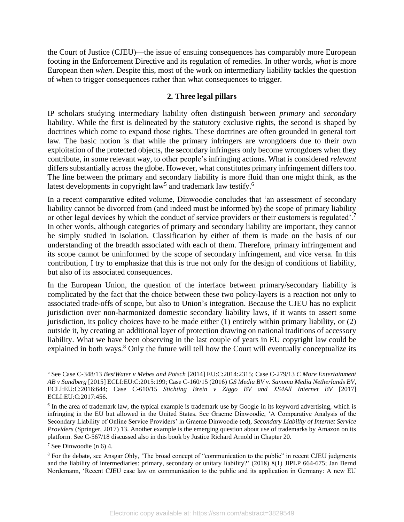the Court of Justice (CJEU)—the issue of ensuing consequences has comparably more European footing in the Enforcement Directive and its regulation of remedies. In other words, *what* is more European then *when*. Despite this, most of the work on intermediary liability tackles the question of when to trigger consequences rather than what consequences to trigger.

#### <span id="page-1-0"></span>**2. Three legal pillars**

IP scholars studying intermediary liability often distinguish between *primary* and *secondary* liability. While the first is delineated by the statutory exclusive rights, the second is shaped by doctrines which come to expand those rights. These doctrines are often grounded in general tort law. The basic notion is that while the primary infringers are wrongdoers due to their own exploitation of the protected objects, the secondary infringers only become wrongdoers when they contribute, in some relevant way, to other people's infringing actions. What is considered *relevant* differs substantially across the globe. However, what constitutes primary infringement differs too. The line between the primary and secondary liability is more fluid than one might think, as the latest developments in copyright law<sup>5</sup> and trademark law testify.<sup>6</sup>

In a recent comparative edited volume, Dinwoodie concludes that 'an assessment of secondary liability cannot be divorced from (and indeed must be informed by) the scope of primary liability or other legal devices by which the conduct of service providers or their customers is regulated'.<sup>7</sup> In other words, although categories of primary and secondary liability are important, they cannot be simply studied in isolation. Classification by either of them is made on the basis of our understanding of the breadth associated with each of them. Therefore, primary infringement and its scope cannot be uninformed by the scope of secondary infringement, and vice versa. In this contribution, I try to emphasize that this is true not only for the design of conditions of liability, but also of its associated consequences.

In the European Union, the question of the interface between primary/secondary liability is complicated by the fact that the choice between these two policy-layers is a reaction not only to associated trade-offs of scope, but also to Union's integration. Because the CJEU has no explicit jurisdiction over non-harmonized domestic secondary liability laws, if it wants to assert some jurisdiction, its policy choices have to be made either (1) entirely within primary liability, or (2) outside it, by creating an additional layer of protection drawing on national traditions of accessory liability. What we have been observing in the last couple of years in EU copyright law could be explained in both ways.<sup>8</sup> Only the future will tell how the Court will eventually conceptualize its

<sup>5</sup> See Case C-348/13 *BestWater v Mebes and Potsch* [2014] EU:C:2014:2315; Case C-279/13 *C More Entertainment AB v Sandberg* [2015] ECLI:EU:C:2015:199; Case C-160/15 (2016) *GS Media BV v. Sanoma Media Netherlands BV*, ECLI:EU:C:2016:644; Case C-610/15 *Stichting Brein v Ziggo BV and XS4All Internet BV* [2017] ECLI:EU:C:2017:456.

<sup>&</sup>lt;sup>6</sup> In the area of trademark law, the typical example is trademark use by Google in its keyword advertising, which is infringing in the EU but allowed in the United States. See Graeme Dinwoodie, 'A Comparative Analysis of the Secondary Liability of Online Service Providers' in Graeme Dinwoodie (ed), *Secondary Liability of Internet Service Providers* (Springer, 2017) 13. Another example is the emerging question about use of trademarks by Amazon on its platform. See C-567/18 discussed also in this book by Justice Richard Arnold in Chapter 20.

 $7$  See Dinwoodie ([n 6\)](#page-1-0) 4.

<sup>8</sup> For the debate, see Ansgar Ohly, 'The broad concept of "communication to the public" in recent CJEU judgments and the liability of intermediaries: primary, secondary or unitary liability?' (2018) 8(1) JIPLP 664-675; Jan Bernd Nordemann, 'Recent CJEU case law on communication to the public and its application in Germany: A new EU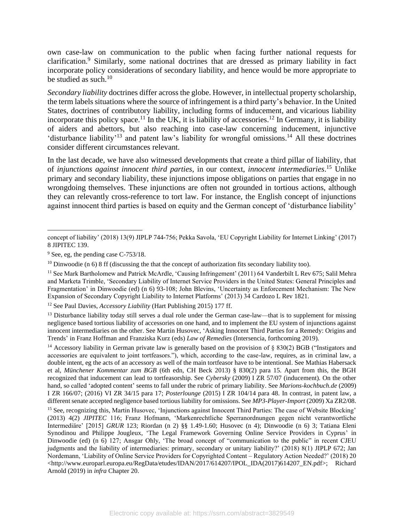own case-law on communication to the public when facing further national requests for clarification.<sup>9</sup> Similarly, some national doctrines that are dressed as primary liability in fact incorporate policy considerations of secondary liability, and hence would be more appropriate to be studied as such. $10$ 

*Secondary liability* doctrines differ across the globe. However, in intellectual property scholarship, the term labels situations where the source of infringement is a third party's behavior. In the United States, doctrines of contributory liability, including forms of inducement, and vicarious liability incorporate this policy space.<sup>11</sup> In the UK, it is liability of accessories.<sup>12</sup> In Germany, it is liability of aiders and abettors, but also reaching into case-law concerning inducement, injunctive 'disturbance liability'<sup>13</sup> and patent law's liability for wrongful omissions.<sup>14</sup> All these doctrines consider different circumstances relevant.

<span id="page-2-1"></span><span id="page-2-0"></span>In the last decade, we have also witnessed developments that create a third pillar of liability, that of *injunctions against innocent third parties*, in our context, *innocent intermediaries*. <sup>15</sup> Unlike primary and secondary liability, these injunctions impose obligations on parties that engage in no wrongdoing themselves. These injunctions are often not grounded in tortious actions, although they can relevantly cross-reference to tort law. For instance, the English concept of injunctions against innocent third parties is based on equity and the German concept of 'disturbance liability'

concept of liability' (2018) 13(9) JIPLP 744-756; Pekka Savola, 'EU Copyright Liability for Internet Linking' (2017) 8 JIPITEC 139.

<sup>&</sup>lt;sup>9</sup> See, eg, the pending case C-753/18.

<sup>&</sup>lt;sup>10</sup> Dinwoodie (n [6\)](#page-1-0) 8 ff (discussing the that the concept of authorization fits secondary liability too).

<sup>11</sup> See Mark Bartholomew and Patrick McArdle, 'Causing Infringement' (2011) 64 Vanderbilt L Rev 675; Salil Mehra and Marketa Trimble, 'Secondary Liability of Internet Service Providers in the United States: General Principles and Fragmentation' in Dinwoodie (ed) (n [6\)](#page-1-0) 93-108; John Blevins, 'Uncertainty as Enforcement Mechanism: The New Expansion of Secondary Copyright Liability to Internet Platforms' (2013) 34 Cardozo L Rev 1821.

<sup>12</sup> See Paul Davies, *Accessory Liability* (Hart Publishing 2015) 177 ff.

 $13$  Disturbance liability today still serves a dual role under the German case-law—that is to supplement for missing negligence based tortious liability of accessories on one hand, and to implement the EU system of injunctions against innocent intermediaries on the other. See Martin Husovec, 'Asking Innocent Third Parties for a Remedy: Origins and Trends' in Franz Hoffman and Franziska Kurz (eds) *Law of Remedies* (Intersencia, forthcoming 2019).

<sup>&</sup>lt;sup>14</sup> Accessory liability in German private law is generally based on the provision of  $\S$  830(2) BGB ("Instigators and accessories are equivalent to joint tortfeasors."), which, according to the case-law, requires, as in criminal law, a double intent, eg the acts of an accessory as well of the main tortfeasor have to be intentional. See Mathias Habersack et al, *Münchener Kommentar zum BGB* (6th edn, CH Beck 2013) § 830(2) para 15. Apart from this, the BGH recognized that inducement can lead to tortfeasorship. See *Cybersky* (2009) I ZR 57/07 (inducement). On the other hand, so called 'adopted content' seems to fall under the rubric of primary liability. See *Marions-kochbuch.de* (2009) I ZR 166/07; (2016) VI ZR 34/15 para 17; *Posterlounge* (2015) I ZR 104/14 para 48. In contrast, in patent law, a different senate accepted negligence based tortious liability for omissions. See *MP3-Player-Import* (2009) Xa ZR2/08.

<sup>&</sup>lt;sup>15</sup> See, recognizing this, Martin Husovec, 'Injunctions against Innocent Third Parties: The case of Website Blocking' (2013) 4(2) *JIPITEC* 116; Franz Hofmann, 'Markenrechtliche Sperranordnungen gegen nicht verantwortliche Intermediäre' [2015] *GRUR* 123; Riordan (n [2\)](#page-0-0) §§ 1.49-1.60; Husovec (n [4\)](#page-0-1); Dinwoodie (n [6\)](#page-1-0) 3; Tatiana Eleni Synodinou and Philippe Jougleux, 'The Legal Framework Governing Online Service Providers in Cyprus' in Dinwoodie (ed) (n [6\)](#page-1-0) 127; Ansgar Ohly, 'The broad concept of "communication to the public" in recent CJEU judgments and the liability of intermediaries: primary, secondary or unitary liability?' (2018) 8(1) JIPLP 672; Jan Nordemann, 'Liability of Online Service Providers for Copyrighted Content – Regulatory Action Needed?' (2018) 20 <http://www.europarl.europa.eu/RegData/etudes/IDAN/2017/614207/IPOL\_IDA(2017)614207\_EN.pdf>; Richard Arnold (2019) in *infra* Chapter 20.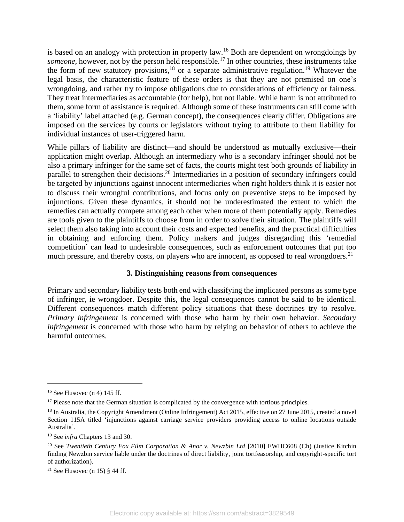is based on an analogy with protection in property law.<sup>16</sup> Both are dependent on wrongdoings by *someone*, however, not by the person held responsible. <sup>17</sup> In other countries, these instruments take the form of new statutory provisions,<sup>18</sup> or a separate administrative regulation.<sup>19</sup> Whatever the legal basis, the characteristic feature of these orders is that they are not premised on one's wrongdoing, and rather try to impose obligations due to considerations of efficiency or fairness. They treat intermediaries as accountable (for help), but not liable. While harm is not attributed to them, some form of assistance is required. Although some of these instruments can still come with a 'liability' label attached (e.g. German concept), the consequences clearly differ. Obligations are imposed on the services by courts or legislators without trying to attribute to them liability for individual instances of user-triggered harm.

While pillars of liability are distinct—and should be understood as mutually exclusive—their application might overlap. Although an intermediary who is a secondary infringer should not be also a primary infringer for the same set of facts, the courts might test both grounds of liability in parallel to strengthen their decisions.<sup>20</sup> Intermediaries in a position of secondary infringers could be targeted by injunctions against innocent intermediaries when right holders think it is easier not to discuss their wrongful contributions, and focus only on preventive steps to be imposed by injunctions. Given these dynamics, it should not be underestimated the extent to which the remedies can actually compete among each other when more of them potentially apply. Remedies are tools given to the plaintiffs to choose from in order to solve their situation. The plaintiffs will select them also taking into account their costs and expected benefits, and the practical difficulties in obtaining and enforcing them. Policy makers and judges disregarding this 'remedial competition' can lead to undesirable consequences, such as enforcement outcomes that put too much pressure, and thereby costs, on players who are innocent, as opposed to real wrongdoers.<sup>21</sup>

## **3. Distinguishing reasons from consequences**

Primary and secondary liability tests both end with classifying the implicated persons as some type of infringer, ie wrongdoer. Despite this, the legal consequences cannot be said to be identical. Different consequences match different policy situations that these doctrines try to resolve. *Primary infringement* is concerned with those who harm by their own behavior. *Secondary infringement* is concerned with those who harm by relying on behavior of others to achieve the harmful outcomes.

 $16$  See Husovec (n [4\)](#page-0-1) 145 ff.

<sup>&</sup>lt;sup>17</sup> Please note that the German situation is complicated by the convergence with tortious principles.

<sup>&</sup>lt;sup>18</sup> In Australia, the Copyright Amendment (Online Infringement) Act 2015, effective on 27 June 2015, created a novel Section 115A titled 'injunctions against carriage service providers providing access to online locations outside Australia'.

<sup>19</sup> See *infra* Chapters 13 and 30.

<sup>20</sup> See *Twentieth Century Fox Film Corporation & Anor v. Newzbin Ltd* [2010] EWHC608 (Ch) (Justice Kitchin finding Newzbin service liable under the doctrines of direct liability, joint tortfeasorship, and copyright-specific tort of authorization).

<sup>&</sup>lt;sup>21</sup> See Husovec (n [15\)](#page-2-0)  $§$  44 ff.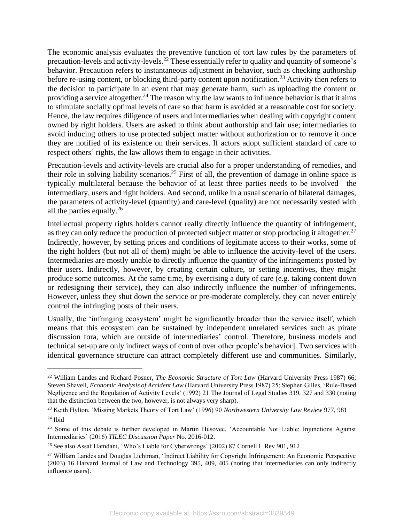The economic analysis evaluates the preventive function of tort law rules by the parameters of precaution-levels and activity-levels.<sup>22</sup> These essentially refer to quality and quantity of someone's behavior. Precaution refers to instantaneous adjustment in behavior, such as checking authorship before re-using content, or blocking third-party content upon notification.<sup>23</sup> Activity then refers to the decision to participate in an event that may generate harm, such as uploading the content or providing a service altogether.<sup>24</sup> The reason why the law wants to influence behavior is that it aims to stimulate socially optimal levels of care so that harm is avoided at a reasonable cost for society. Hence, the law requires diligence of users and intermediaries when dealing with copyright content owned by right holders. Users are asked to think about authorship and fair use; intermediaries to avoid inducing others to use protected subject matter without authorization or to remove it once they are notified of its existence on their services. If actors adopt sufficient standard of care to respect others' rights, the law allows them to engage in their activities.

Precaution-levels and activity-levels are crucial also for a proper understanding of remedies, and their role in solving liability scenarios.<sup>25</sup> First of all, the prevention of damage in online space is typically multilateral because the behavior of at least three parties needs to be involved—the intermediary, users and right holders. And second, unlike in a usual scenario of bilateral damages, the parameters of activity-level (quantity) and care-level (quality) are not necessarily vested with all the parties equally.<sup>26</sup>

Intellectual property rights holders cannot really directly influence the quantity of infringement, as they can only reduce the production of protected subject matter or stop producing it altogether.<sup>27</sup> Indirectly, however, by setting prices and conditions of legitimate access to their works, some of the right holders (but not all of them) might be able to influence the activity-level of the users. Intermediaries are mostly unable to directly influence the quantity of the infringements posted by their users. Indirectly, however, by creating certain culture, or setting incentives, they might produce some outcomes. At the same time, by exercising a duty of care (e.g. taking content down or redesigning their service), they can also indirectly influence the number of infringements. However, unless they shut down the service or pre-moderate completely, they can never entirely control the infringing posts of their users.

Usually, the 'infringing ecosystem' might be significantly broader than the service itself, which means that this ecosystem can be sustained by independent unrelated services such as pirate discussion fora, which are outside of intermediaries' control. Therefore, business models and technical set-up are only indirect ways of control over other people's behavior]. Two services with identical governance structure can attract completely different use and communities. Similarly,

<sup>22</sup> William Landes and Richard Posner, *The Economic Structure of Tort Law* (Harvard University Press 1987) 66; Steven Shavell, *Economic Analysis of Accident Law* (Harvard University Press 1987) 25; Stephen Gilles, 'Rule-Based Negligence and the Regulation of Activity Levels' (1992) 21 The Journal of Legal Studies 319, 327 and 330 (noting that the distinction between the two, however, is not always very sharp).

<sup>23</sup> Keith Hylton, 'Missing Markets Theory of Tort Law' (1996) 90 *Northwestern University Law Review* 977, 981  $24$  Ibid

<sup>&</sup>lt;sup>25</sup> Some of this debate is further developed in Martin Husovec, 'Accountable Not Liable: Injunctions Against Intermediaries' (2016) *TILEC Discussion Paper* No. 2016-012.

<sup>26</sup> See also Assaf Hamdani, 'Who's Liable for Cyberwrongs' (2002) 87 Cornell L Rev 901, 912

<sup>27</sup> William Landes and Douglas Lichtman, 'Indirect Liability for Copyright Infringement: An Economic Perspective (2003) 16 Harvard Journal of Law and Technology 395, 409, 405 (noting that intermediaries can only indirectly influence users).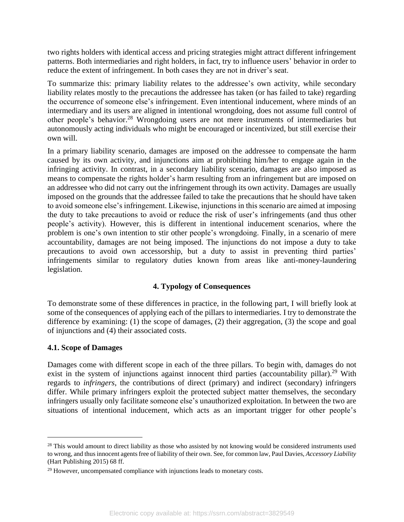two rights holders with identical access and pricing strategies might attract different infringement patterns. Both intermediaries and right holders, in fact, try to influence users' behavior in order to reduce the extent of infringement. In both cases they are not in driver's seat.

To summarize this: primary liability relates to the addressee's own activity, while secondary liability relates mostly to the precautions the addressee has taken (or has failed to take) regarding the occurrence of someone else's infringement. Even intentional inducement, where minds of an intermediary and its users are aligned in intentional wrongdoing, does not assume full control of other people's behavior.<sup>28</sup> Wrongdoing users are not mere instruments of intermediaries but autonomously acting individuals who might be encouraged or incentivized, but still exercise their own will.

<span id="page-5-0"></span>In a primary liability scenario, damages are imposed on the addressee to compensate the harm caused by its own activity, and injunctions aim at prohibiting him/her to engage again in the infringing activity. In contrast, in a secondary liability scenario, damages are also imposed as means to compensate the rights holder's harm resulting from an infringement but are imposed on an addressee who did not carry out the infringement through its own activity. Damages are usually imposed on the grounds that the addressee failed to take the precautions that he should have taken to avoid someone else's infringement. Likewise, injunctions in this scenario are aimed at imposing the duty to take precautions to avoid or reduce the risk of user's infringements (and thus other people's activity). However, this is different in intentional inducement scenarios, where the problem is one's own intention to stir other people's wrongdoing. Finally, in a scenario of mere accountability, damages are not being imposed. The injunctions do not impose a duty to take precautions to avoid own accessorship, but a duty to assist in preventing third parties' infringements similar to regulatory duties known from areas like anti-money-laundering legislation.

# **4. Typology of Consequences**

To demonstrate some of these differences in practice, in the following part, I will briefly look at some of the consequences of applying each of the pillars to intermediaries. I try to demonstrate the difference by examining: (1) the scope of damages, (2) their aggregation, (3) the scope and goal of injunctions and (4) their associated costs.

## **4.1. Scope of Damages**

Damages come with different scope in each of the three pillars. To begin with, damages do not exist in the system of injunctions against innocent third parties (accountability pillar).<sup>29</sup> With regards to *infringers*, the contributions of direct (primary) and indirect (secondary) infringers differ. While primary infringers exploit the protected subject matter themselves, the secondary infringers usually only facilitate someone else's unauthorized exploitation. In between the two are situations of intentional inducement, which acts as an important trigger for other people's

 $28$  This would amount to direct liability as those who assisted by not knowing would be considered instruments used to wrong, and thus innocent agents free of liability of their own. See, for common law, Paul Davies, *Accessory Liability* (Hart Publishing 2015) 68 ff.

<sup>&</sup>lt;sup>29</sup> However, uncompensated compliance with injunctions leads to monetary costs.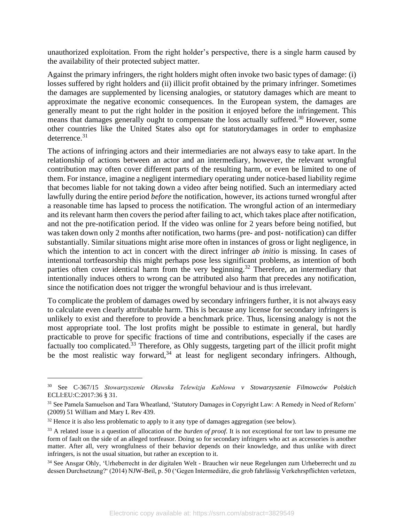unauthorized exploitation. From the right holder's perspective, there is a single harm caused by the availability of their protected subject matter.

Against the primary infringers, the right holders might often invoke two basic types of damage: (i) losses suffered by right holders and (ii) illicit profit obtained by the primary infringer. Sometimes the damages are supplemented by licensing analogies, or statutory damages which are meant to approximate the negative economic consequences. In the European system, the damages are generally meant to put the right holder in the position it enjoyed before the infringement. This means that damages generally ought to compensate the loss actually suffered.<sup>30</sup> However, some other countries like the United States also opt for statutorydamages in order to emphasize deterrence.<sup>31</sup>

The actions of infringing actors and their intermediaries are not always easy to take apart. In the relationship of actions between an actor and an intermediary, however, the relevant wrongful contribution may often cover different parts of the resulting harm, or even be limited to one of them. For instance, imagine a negligent intermediary operating under notice-based liability regime that becomes liable for not taking down a video after being notified. Such an intermediary acted lawfully during the entire period *before* the notification, however, its actions turned wrongful after a reasonable time has lapsed to process the notification. The wrongful action of an intermediary and its relevant harm then covers the period after failing to act, which takes place after notification, and not the pre-notification period. If the video was online for 2 years before being notified, but was taken down only 2 months after notification, two harms (pre- and post- notification) can differ substantially. Similar situations might arise more often in instances of gross or light negligence, in which the intention to act in concert with the direct infringer *ab initio* is missing. In cases of intentional tortfeasorship this might perhaps pose less significant problems, as intention of both parties often cover identical harm from the very beginning.<sup>32</sup> Therefore, an intermediary that intentionally induces others to wrong can be attributed also harm that precedes any notification, since the notification does not trigger the wrongful behaviour and is thus irrelevant.

To complicate the problem of damages owed by secondary infringers further, it is not always easy to calculate even clearly attributable harm. This is because any license for secondary infringers is unlikely to exist and therefore to provide a benchmark price. Thus, licensing analogy is not the most appropriate tool. The lost profits might be possible to estimate in general, but hardly practicable to prove for specific fractions of time and contributions, especially if the cases are factually too complicated.<sup>33</sup> Therefore, as Ohly suggests, targeting part of the illicit profit might be the most realistic way forward,  $34$  at least for negligent secondary infringers. Although,

<sup>30</sup> See C-367/15 *Stowarzyszenie Oławska Telewizja Kablowa v Stowarzyszenie Filmowców Polskich* ECLI:EU:C:2017:36 § 31.

<sup>31</sup> See Pamela Samuelson and Tara Wheatland, 'Statutory Damages in Copyright Law: A Remedy in Need of Reform' (2009) 51 William and Mary L Rev 439.

 $32$  Hence it is also less problematic to apply to it any type of damages aggregation (see below).

<sup>33</sup> A related issue is a question of allocation of the *burden of proof*. It is not exceptional for tort law to presume me form of fault on the side of an alleged tortfeasor. Doing so for secondary infringers who act as accessories is another matter. After all, very wrongfulness of their behavior depends on their knowledge, and thus unlike with direct infringers, is not the usual situation, but rather an exception to it.

<sup>34</sup> See Ansgar Ohly, 'Urheberrecht in der digitalen Welt - Brauchen wir neue Regelungen zum Urheberrecht und zu dessen Durchsetzung?' (2014) NJW-Beil, p. 50 ('Gegen Intermediäre, die grob fahrlässig Verkehrspflichten verletzen,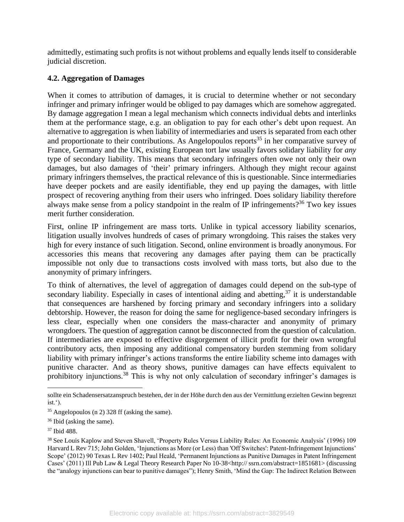admittedly, estimating such profits is not without problems and equally lends itself to considerable judicial discretion.

# **4.2. Aggregation of Damages**

When it comes to attribution of damages, it is crucial to determine whether or not secondary infringer and primary infringer would be obliged to pay damages which are somehow aggregated. By damage aggregation I mean a legal mechanism which connects individual debts and interlinks them at the performance stage, e.g. an obligation to pay for each other's debt upon request. An alternative to aggregation is when liability of intermediaries and users is separated from each other and proportionate to their contributions. As Angelopoulos reports<sup>35</sup> in her comparative survey of France, Germany and the UK, existing European tort law usually favors solidary liability for *any* type of secondary liability. This means that secondary infringers often owe not only their own damages, but also damages of 'their' primary infringers. Although they might recour against primary infringers themselves, the practical relevance of this is questionable. Since intermediaries have deeper pockets and are easily identifiable, they end up paying the damages, with little prospect of recovering anything from their users who infringed. Does solidary liability therefore always make sense from a policy standpoint in the realm of IP infringements?<sup>36</sup> Two key issues merit further consideration.

First, online IP infringement are mass torts. Unlike in typical accessory liability scenarios, litigation usually involves hundreds of cases of primary wrongdoing. This raises the stakes very high for every instance of such litigation. Second, online environment is broadly anonymous. For accessories this means that recovering any damages after paying them can be practically impossible not only due to transactions costs involved with mass torts, but also due to the anonymity of primary infringers.

To think of alternatives, the level of aggregation of damages could depend on the sub-type of secondary liability. Especially in cases of intentional aiding and abetting,  $37$  it is understandable that consequences are harshened by forcing primary and secondary infringers into a solidary debtorship. However, the reason for doing the same for negligence-based secondary infringers is less clear, especially when one considers the mass-character and anonymity of primary wrongdoers. The question of aggregation cannot be disconnected from the question of calculation. If intermediaries are exposed to effective disgorgement of illicit profit for their own wrongful contributory acts, then imposing any additional compensatory burden stemming from solidary liability with primary infringer's actions transforms the entire liability scheme into damages with punitive character. And as theory shows, punitive damages can have effects equivalent to prohibitory injunctions.<sup>38</sup> This is why not only calculation of secondary infringer's damages is

sollte ein Schadensersatzanspruch bestehen, der in der Höhe durch den aus der Vermittlung erzielten Gewinn begrenzt ist.').

<sup>35</sup> Angelopoulos ([n 2\)](#page-0-0) 328 ff (asking the same).

<sup>36</sup> Ibid (asking the same).

<sup>37</sup> Ibid 488.

<sup>38</sup> See Louis Kaplow and Steven Shavell, 'Property Rules Versus Liability Rules: An Economic Analysis' (1996) 109 Harvard L Rev 715; John Golden, 'Injunctions as More (or Less) than 'Off Switches': Patent-Infringement Injunctions' Scope' (2012) 90 Texas L Rev 1402; Paul Heald, 'Permanent Injunctions as Punitive Damages in Patent Infringement Cases' (2011) Ill Pub Law & Legal Theory Research Paper No 10-38<http:// ssrn.com/abstract=1851681> (discussing the "analogy injunctions can bear to punitive damages"); Henry Smith, 'Mind the Gap: The Indirect Relation Between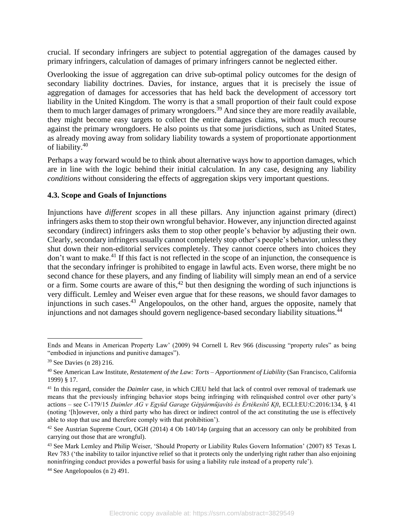crucial. If secondary infringers are subject to potential aggregation of the damages caused by primary infringers, calculation of damages of primary infringers cannot be neglected either.

Overlooking the issue of aggregation can drive sub-optimal policy outcomes for the design of secondary liability doctrines. Davies, for instance, argues that it is precisely the issue of aggregation of damages for accessories that has held back the development of accessory tort liability in the United Kingdom. The worry is that a small proportion of their fault could expose them to much larger damages of primary wrongdoers.<sup>39</sup> And since they are more readily available, they might become easy targets to collect the entire damages claims, without much recourse against the primary wrongdoers. He also points us that some jurisdictions, such as United States, as already moving away from solidary liability towards a system of proportionate apportionment of liability. 40

Perhaps a way forward would be to think about alternative ways how to apportion damages, which are in line with the logic behind their initial calculation. In any case, designing any liability *conditions* without considering the effects of aggregation skips very important questions.

## **4.3. Scope and Goals of Injunctions**

Injunctions have *different scopes* in all these pillars. Any injunction against primary (direct) infringers asks them to stop their own wrongful behavior. However, any injunction directed against secondary (indirect) infringers asks them to stop other people's behavior by adjusting their own. Clearly, secondary infringers usually cannot completely stop other's people's behavior, unless they shut down their non-editorial services completely. They cannot coerce others into choices they don't want to make.<sup>41</sup> If this fact is not reflected in the scope of an injunction, the consequence is that the secondary infringer is prohibited to engage in lawful acts. Even worse, there might be no second chance for these players, and any finding of liability will simply mean an end of a service or a firm. Some courts are aware of this,  $42$  but then designing the wording of such injunctions is very difficult. Lemley and Weiser even argue that for these reasons, we should favor damages to injunctions in such cases.<sup>43</sup> Angelopoulos, on the other hand, argues the opposite, namely that injunctions and not damages should govern negligence-based secondary liability situations.<sup>44</sup>

Ends and Means in American Property Law' (2009) 94 Cornell L Rev 966 (discussing "property rules" as being "embodied in injunctions and punitive damages").

<sup>39</sup> See Davies (n [28\)](#page-5-0) 216.

<sup>40</sup> See American Law Institute, *Restatement of the Law: Torts – Apportionment of Liability* (San Francisco, California 1999) § 17.

<sup>&</sup>lt;sup>41</sup> In this regard, consider the *Daimler* case, in which CJEU held that lack of control over removal of trademark use means that the previously infringing behavior stops being infringing with relinquished control over other party's actions – see C‑179/15 *Daimler AG v Együd Garage Gépjárműjavító és Értékesítő Kft*, ECLI:EU:C:2016:134, § 41 (noting '[h]owever, only a third party who has direct or indirect control of the act constituting the use is effectively able to stop that use and therefore comply with that prohibition').

<sup>&</sup>lt;sup>42</sup> See Austrian Supreme Court, OGH (2014) 4 Ob 140/14p (arguing that an accessory can only be prohibited from carrying out those that are wrongful).

<sup>&</sup>lt;sup>43</sup> See Mark Lemley and Philip Weiser, 'Should Property or Liability Rules Govern Information' (2007) 85 Texas L Rev 783 ('the inability to tailor injunctive relief so that it protects only the underlying right rather than also enjoining noninfringing conduct provides a powerful basis for using a liability rule instead of a property rule').

<sup>44</sup> See Angelopoulos (n [2\)](#page-0-0) 491.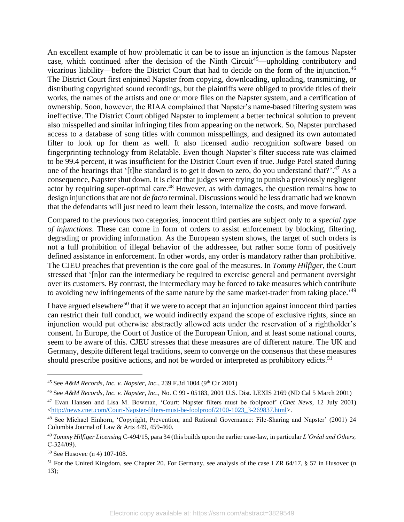An excellent example of how problematic it can be to issue an injunction is the famous Napster case, which continued after the decision of the Ninth Circuit<sup>45</sup>—upholding contributory and vicarious liability—before the District Court that had to decide on the form of the injunction.<sup>46</sup> The District Court first enjoined Napster from copying, downloading, uploading, transmitting, or distributing copyrighted sound recordings, but the plaintiffs were obliged to provide titles of their works, the names of the artists and one or more files on the Napster system, and a certification of ownership. Soon, however, the RIAA complained that Napster's name-based filtering system was ineffective. The District Court obliged Napster to implement a better technical solution to prevent also misspelled and similar infringing files from appearing on the network. So, Napster purchased access to a database of song titles with common misspellings, and designed its own automated filter to look up for them as well. It also licensed audio recognition software based on fingerprinting technology from Relatable. Even though Napster's filter success rate was claimed to be 99.4 percent, it was insufficient for the District Court even if true. Judge Patel stated during one of the hearings that '[t]he standard is to get it down to zero, do you understand that?'.<sup>47</sup> As a consequence, Napster shut down. It is clear that judges were trying to punish a previously negligent actor by requiring super-optimal care.<sup>48</sup> However, as with damages, the question remains how to design injunctions that are not *de facto* terminal. Discussions would be less dramatic had we known that the defendants will just need to learn their lesson, internalize the costs, and move forward.

Compared to the previous two categories, innocent third parties are subject only to a *special type of injunctions*. These can come in form of orders to assist enforcement by blocking, filtering, degrading or providing information. As the European system shows, the target of such orders is not a full prohibition of illegal behavior of the addressee, but rather some form of positively defined assistance in enforcement. In other words, any order is mandatory rather than prohibitive. The CJEU preaches that prevention is the core goal of the measures. In *Tommy Hilfiger*, the Court stressed that '[n]or can the intermediary be required to exercise general and permanent oversight over its customers. By contrast, the intermediary may be forced to take measures which contribute to avoiding new infringements of the same nature by the same market-trader from taking place.<sup>149</sup>

I have argued elsewhere<sup>50</sup> that if we were to accept that an injunction against innocent third parties can restrict their full conduct, we would indirectly expand the scope of exclusive rights, since an injunction would put otherwise abstractly allowed acts under the reservation of a rightholder's consent. In Europe, the Court of Justice of the European Union, and at least some national courts, seem to be aware of this. CJEU stresses that these measures are of different nature. The UK and Germany, despite different legal traditions, seem to converge on the consensus that these measures should prescribe positive actions, and not be worded or interpreted as prohibitory edicts.<sup>51</sup>

<sup>&</sup>lt;sup>45</sup> See *A&M Records, Inc. v. Napster, Inc.*, 239 F.3d 1004 (9<sup>th</sup> Cir 2001)

<sup>46</sup> See *A&M Records, Inc. v. Napster, Inc.,* No. C 99 - 05183, 2001 U.S. Dist. LEXIS 2169 (ND Cal 5 March 2001)

<sup>47</sup> Evan Hansen and Lisa M. Bowman, 'Court: Napster filters must be foolproof' (*Cnet News*, 12 July 2001) [<http://news.cnet.com/Court-Napster-filters-must-be-foolproof/2100-1023\\_3-269837.html>](http://news.cnet.com/Court-Napster-filters-must-be-foolproof/2100-1023_3-269837.html).

<sup>&</sup>lt;sup>48</sup> See Michael Einhorn, 'Copyright, Prevention, and Rational Governance: File-Sharing and Napster' (2001) 24 Columbia Journal of Law & Arts 449, 459-460.

<sup>49</sup> *Tommy Hilfiger Licensing* C-494/15, para 34 (this builds upon the earlier case-law, in particular *L'Oréal and Others,*  $C-324/09$ ).

<sup>50</sup> See Husovec (n [4\)](#page-0-1) 107-108.

<sup>&</sup>lt;sup>51</sup> For the United Kingdom, see Chapter 20. For Germany, see analysis of the case I ZR 64/17, § 57 in Husovec (n [13\)](#page-2-1);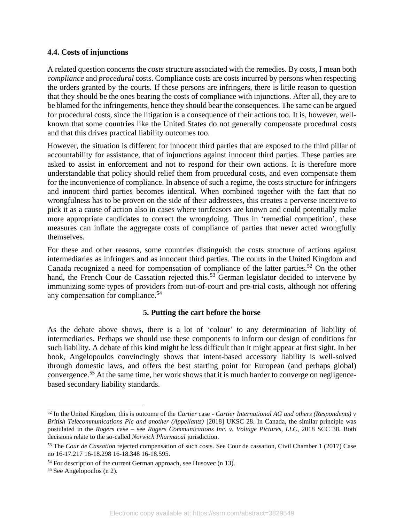## **4.4. Costs of injunctions**

A related question concerns the *costs* structure associated with the remedies. By costs, I mean both *compliance* and *procedural* costs. Compliance costs are costs incurred by persons when respecting the orders granted by the courts. If these persons are infringers, there is little reason to question that they should be the ones bearing the costs of compliance with injunctions. After all, they are to be blamed for the infringements, hence they should bear the consequences. The same can be argued for procedural costs, since the litigation is a consequence of their actions too. It is, however, wellknown that some countries like the United States do not generally compensate procedural costs and that this drives practical liability outcomes too.

However, the situation is different for innocent third parties that are exposed to the third pillar of accountability for assistance, that of injunctions against innocent third parties. These parties are asked to assist in enforcement and not to respond for their own actions. It is therefore more understandable that policy should relief them from procedural costs, and even compensate them for the inconvenience of compliance. In absence of such a regime, the costs structure for infringers and innocent third parties becomes identical. When combined together with the fact that no wrongfulness has to be proven on the side of their addressees, this creates a perverse incentive to pick it as a cause of action also in cases where tortfeasors are known and could potentially make more appropriate candidates to correct the wrongdoing. Thus in 'remedial competition', these measures can inflate the aggregate costs of compliance of parties that never acted wrongfully themselves.

For these and other reasons, some countries distinguish the costs structure of actions against intermediaries as infringers and as innocent third parties. The courts in the United Kingdom and Canada recognized a need for compensation of compliance of the latter parties.<sup>52</sup> On the other hand, the French Cour de Cassation rejected this.<sup>53</sup> German legislator decided to intervene by immunizing some types of providers from out-of-court and pre-trial costs, although not offering any compensation for compliance.<sup>54</sup>

## **5. Putting the cart before the horse**

As the debate above shows, there is a lot of 'colour' to any determination of liability of intermediaries. Perhaps we should use these components to inform our design of conditions for such liability. A debate of this kind might be less difficult than it might appear at first sight. In her book, Angelopoulos convincingly shows that intent-based accessory liability is well-solved through domestic laws, and offers the best starting point for European (and perhaps global) convergence.<sup>55</sup> At the same time, her work shows that it is much harder to converge on negligencebased secondary liability standards.

<sup>52</sup> In the United Kingdom, this is outcome of the *Cartier* case - *Cartier International AG and others (Respondents) v British Telecommunications Plc and another (Appellants)* [2018] UKSC 28. In Canada, the similar principle was postulated in the *Rogers* case – see *Rogers Communications Inc. v. Voltage Pictures, LLC*, 2018 SCC 38. Both decisions relate to the so-called *Norwich Pharmacal* jurisdiction.

<sup>53</sup> The *Cour de Cassation* rejected compensation of such costs. See Cour de cassation, Civil Chamber 1 (2017) Case no 16-17.217 16-18.298 16-18.348 16-18.595.

<sup>&</sup>lt;sup>54</sup> For description of the current German approach, see Husovec ([n 13\)](#page-2-1).

<sup>55</sup> See Angelopoulos (n [2\)](#page-0-0).